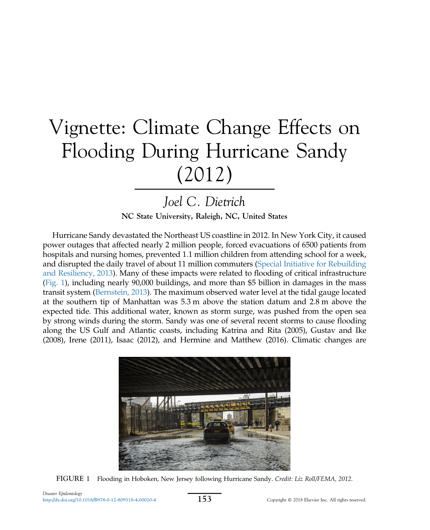# Vignette: Climate Change Effects on Flooding During Hurricane Sandy (2012)

## Joel C. Dietrich

NC State University, Raleigh, NC, United States

Hurricane Sandy devastated the Northeast US coastline in 2012. In New York City, it caused power outages that affected nearly 2 million people, forced evacuations of 6500 patients from hospitals and nursing homes, prevented 1.1 million children from attending school for a week, and disrupted the daily travel of about 11 million commuters ([Special Initiative for Rebuilding](#page-3-0) [and Resiliency, 2013\)](#page-3-0). Many of these impacts were related to flooding of critical infrastructure (Fig. 1), including nearly 90,000 buildings, and more than \$5 billion in damages in the mass transit system ([Bernstein, 2013\)](#page-2-0). The maximum observed water level at the tidal gauge located at the southern tip of Manhattan was 5.3 m above the station datum and 2.8 m above the expected tide. This additional water, known as storm surge, was pushed from the open sea by strong winds during the storm. Sandy was one of several recent storms to cause flooding along the US Gulf and Atlantic coasts, including Katrina and Rita (2005), Gustav and Ike (2008), Irene (2011), Isaac (2012), and Hermine and Matthew (2016). Climatic changes are



FIGURE 1 Flooding in Hoboken, New Jersey following Hurricane Sandy. Credit: Liz Roll/FEMA, 2012.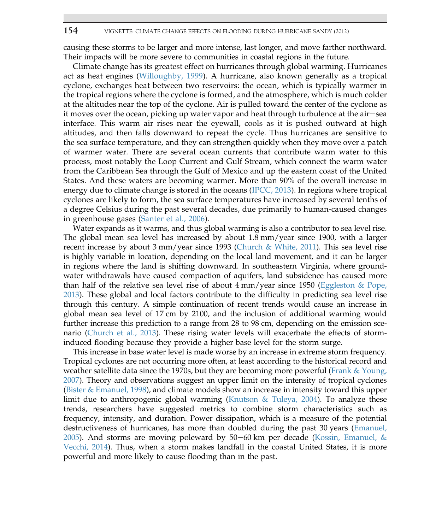#### 154 VIGNETTE: CLIMATE CHANGE EFFECTS ON FLOODING DURING HURRICANE SANDY (2012)

causing these storms to be larger and more intense, last longer, and move farther northward. Their impacts will be more severe to communities in coastal regions in the future.

Climate change has its greatest effect on hurricanes through global warming. Hurricanes act as heat engines ([Willoughby, 1999](#page-3-0)). A hurricane, also known generally as a tropical cyclone, exchanges heat between two reservoirs: the ocean, which is typically warmer in the tropical regions where the cyclone is formed, and the atmosphere, which is much colder at the altitudes near the top of the cyclone. Air is pulled toward the center of the cyclone as it moves over the ocean, picking up water vapor and heat through turbulence at the air-sea interface. This warm air rises near the eyewall, cools as it is pushed outward at high altitudes, and then falls downward to repeat the cycle. Thus hurricanes are sensitive to the sea surface temperature, and they can strengthen quickly when they move over a patch of warmer water. There are several ocean currents that contribute warm water to this process, most notably the Loop Current and Gulf Stream, which connect the warm water from the Caribbean Sea through the Gulf of Mexico and up the eastern coast of the United States. And these waters are becoming warmer. More than 90% of the overall increase in energy due to climate change is stored in the oceans ([IPCC, 2013](#page-2-0)). In regions where tropical cyclones are likely to form, the sea surface temperatures have increased by several tenths of a degree Celsius during the past several decades, due primarily to human-caused changes in greenhouse gases [\(Santer et al., 2006](#page-3-0)).

Water expands as it warms, and thus global warming is also a contributor to sea level rise. The global mean sea level has increased by about 1.8 mm/year since 1900, with a larger recent increase by about 3 mm/year since 1993 ([Church & White, 2011](#page-2-0)). This sea level rise is highly variable in location, depending on the local land movement, and it can be larger in regions where the land is shifting downward. In southeastern Virginia, where groundwater withdrawals have caused compaction of aquifers, land subsidence has caused more than half of the relative sea level rise of about  $4 \text{ mm/year}$  since 1950 ([Eggleston & Pope,](#page-2-0) [2013\)](#page-2-0). These global and local factors contribute to the difficulty in predicting sea level rise through this century. A simple continuation of recent trends would cause an increase in global mean sea level of 17 cm by 2100, and the inclusion of additional warming would further increase this prediction to a range from 28 to 98 cm, depending on the emission scenario ([Church et al., 2013](#page-2-0)). These rising water levels will exacerbate the effects of storminduced flooding because they provide a higher base level for the storm surge.

This increase in base water level is made worse by an increase in extreme storm frequency. Tropical cyclones are not occurring more often, at least according to the historical record and weather satellite data since the 1970s, but they are becoming more powerful (Frank  $\&$  Young, [2007\)](#page-2-0). Theory and observations suggest an upper limit on the intensity of tropical cyclones ([Bister & Emanuel, 1998\)](#page-2-0), and climate models show an increase in intensity toward this upper limit due to anthropogenic global warming [\(Knutson & Tuleya, 2004\)](#page-3-0). To analyze these trends, researchers have suggested metrics to combine storm characteristics such as frequency, intensity, and duration. Power dissipation, which is a measure of the potential destructiveness of hurricanes, has more than doubled during the past 30 years ([Emanuel,](#page-2-0) [2005\)](#page-2-0). And storms are moving poleward by 50–60 km per decade (Kossin, Emanuel,  $\&$ [Vecchi, 2014](#page-3-0)). Thus, when a storm makes landfall in the coastal United States, it is more powerful and more likely to cause flooding than in the past.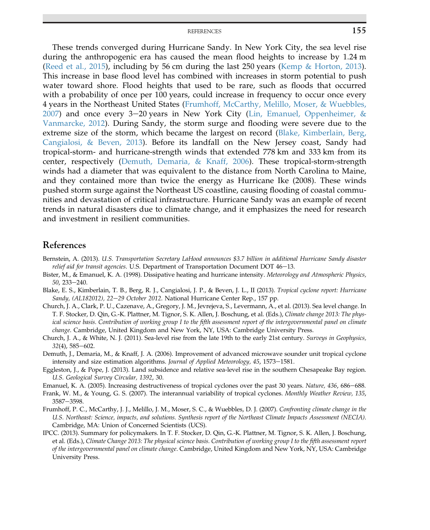#### REFERENCES 155

<span id="page-2-0"></span>These trends converged during Hurricane Sandy. In New York City, the sea level rise during the anthropogenic era has caused the mean flood heights to increase by 1.24 m [\(Reed et al., 2015](#page-3-0)), including by 56 cm during the last 250 years ([Kemp & Horton, 2013](#page-3-0)). This increase in base flood level has combined with increases in storm potential to push water toward shore. Flood heights that used to be rare, such as floods that occurred with a probability of once per 100 years, could increase in frequency to occur once every 4 years in the Northeast United States (Frumhoff, McCarthy, Melillo, Moser, & Wuebbles, 2007) and once every  $3-20$  years in New York City [\(Lin, Emanuel, Oppenheimer, &](#page-3-0) [Vanmarcke, 2012\)](#page-3-0). During Sandy, the storm surge and flooding were severe due to the extreme size of the storm, which became the largest on record (Blake, Kimberlain, Berg, Cangialosi, & Beven, 2013). Before its landfall on the New Jersey coast, Sandy had tropical-storm- and hurricane-strength winds that extended 778 km and 333 km from its center, respectively (Demuth, Demaria, & Knaff, 2006). These tropical-storm-strength winds had a diameter that was equivalent to the distance from North Carolina to Maine, and they contained more than twice the energy as Hurricane Ike (2008). These winds pushed storm surge against the Northeast US coastline, causing flooding of coastal communities and devastation of critical infrastructure. Hurricane Sandy was an example of recent trends in natural disasters due to climate change, and it emphasizes the need for research and investment in resilient communities.

### References

- Bernstein, A. (2013). U.S. Transportation Secretary LaHood announces \$3.7 billion in additional Hurricane Sandy disaster  $relief aid for transit agencies. U.S. Department of Transportation Document DOI  $46-13$ .$
- Bister, M., & Emanuel, K. A. (1998). Dissipative heating and hurricane intensity. Meteorology and Atmospheric Physics, 50, 233-240.
- Blake, E. S., Kimberlain, T. B., Berg, R. J., Cangialosi, J. P., & Beven, J. L., II (2013). Tropical cyclone report: Hurricane Sandy, (AL182012), 22-29 October 2012. National Hurricane Center Rep., 157 pp.
- Church, J. A., Clark, P. U., Cazenave, A., Gregory, J. M., Jevrejeva, S., Levermann, A., et al. (2013). Sea level change. In T. F. Stocker, D. Qin, G.-K. Plattner, M. Tignor, S. K. Allen, J. Boschung, et al. (Eds.), Climate change 2013: The physical science basis. Contribution of working group I to the fifth assessment report of the intergovernmental panel on climate change. Cambridge, United Kingdom and New York, NY, USA: Cambridge University Press.
- Church, J. A., & White, N. J. (2011). Sea-level rise from the late 19th to the early 21st century. Surveys in Geophysics,  $32(4)$ ,  $585-602$ .
- Demuth, J., Demaria, M., & Knaff, J. A. (2006). Improvement of advanced microwave sounder unit tropical cyclone intensity and size estimation algorithms. Journal of Applied Meteorology,  $45$ ,  $1573-1581$ .
- Eggleston, J., & Pope, J. (2013). Land subsidence and relative sea-level rise in the southern Chesapeake Bay region. U.S. Geological Survey Circular, 1392, 30.
- Emanuel, K. A. (2005). Increasing destructiveness of tropical cyclones over the past 30 years. Nature, 436, 686–688.
- Frank, W. M., & Young, G. S. (2007). The interannual variability of tropical cyclones. Monthly Weather Review, 135, 3587-3598.
- Frumhoff, P. C., McCarthy, J. J., Melillo, J. M., Moser, S. C., & Wuebbles, D. J. (2007). Confronting climate change in the U.S. Northeast: Science, impacts, and solutions. Synthesis report of the Northeast Climate Impacts Assessment (NECIA). Cambridge, MA: Union of Concerned Scientists (UCS).
- IPCC. (2013). Summary for policymakers. In T. F. Stocker, D. Qin, G.-K. Plattner, M. Tignor, S. K. Allen, J. Boschung, et al. (Eds.), Climate Change 2013: The physical science basis. Contribution of working group I to the fifth assessment report of the intergovernmental panel on climate change. Cambridge, United Kingdom and New York, NY, USA: Cambridge University Press.